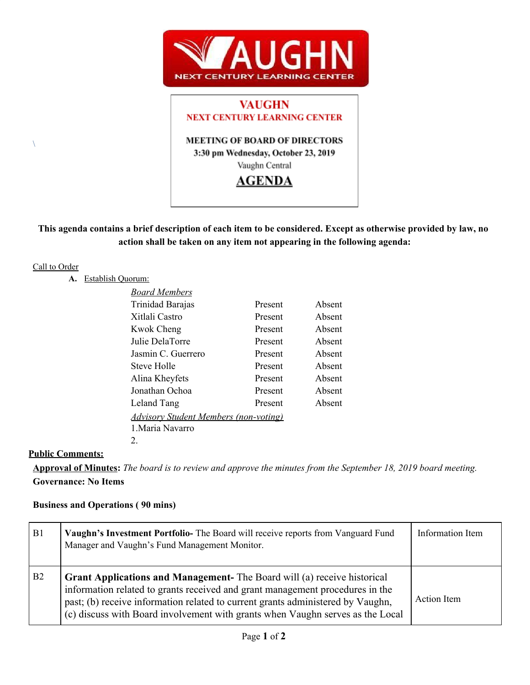

# **VAUGHN NEXT CENTURY LEARNING CENTER MEETING OF BOARD OF DIRECTORS**

3:30 pm Wednesday, October 23, 2019 Vaughn Central

# **AGENDA**

# This agenda contains a brief description of each item to be considered. Except as otherwise provided by law, no **action shall be taken on any item not appearing in the following agenda:**

# Call to Order

 $\setminus$ 

# **A.** Establish Quorum:

| <b>Board Members</b>                         |         |        |
|----------------------------------------------|---------|--------|
| Trinidad Barajas                             | Present | Absent |
| Xitlali Castro                               | Present | Absent |
| <b>Kwok Cheng</b>                            | Present | Absent |
| Julie DelaTorre                              | Present | Absent |
| Jasmin C. Guerrero                           | Present | Absent |
| <b>Steve Holle</b>                           | Present | Absent |
| Alina Kheyfets                               | Present | Absent |
| Jonathan Ochoa                               | Present | Absent |
| Leland Tang                                  | Present | Absent |
| <b>Advisory Student Members (non-voting)</b> |         |        |
| 1. Maria Navarro                             |         |        |
| 2.                                           |         |        |

# **Public Comments:**

Approval of Minutes: The board is to review and approve the minutes from the September 18, 2019 board meeting. **Governance: No Items**

# **Business and Operations ( 90 mins)**

| B1             | Vaughn's Investment Portfolio- The Board will receive reports from Vanguard Fund<br>Manager and Vaughn's Fund Management Monitor.                                                                                                                                                                                                     | Information Item   |
|----------------|---------------------------------------------------------------------------------------------------------------------------------------------------------------------------------------------------------------------------------------------------------------------------------------------------------------------------------------|--------------------|
| B <sub>2</sub> | <b>Grant Applications and Management-</b> The Board will (a) receive historical<br>information related to grants received and grant management procedures in the<br>past; (b) receive information related to current grants administered by Vaughn,<br>(c) discuss with Board involvement with grants when Vaughn serves as the Local | <b>Action</b> Item |